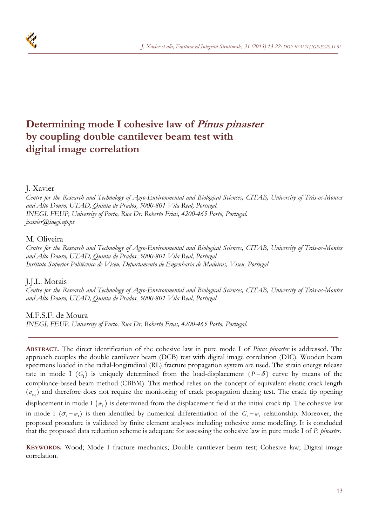

# **Determining mode I cohesive law of Pinus pinaster by coupling double cantilever beam test with digital image correlation**

# J. Xavier

*Centre for the Research and Technology of Agro-Environmental and Biological Sciences, CITAB, University of Trás-os-Montes and Alto Douro, UTAD, Quinta de Prados, 5000-801 Vila Real, Portugal. INEGI, FEUP, University of Porto, Rua Dr. Roberto Frias, 4200-465 Porto, Portugal. jxavier@inegi.up.pt* 

# M. Oliveira

*Centre for the Research and Technology of Agro-Environmental and Biological Sciences, CITAB, University of Trás-os-Montes and Alto Douro, UTAD, Quinta de Prados, 5000-801 Vila Real, Portugal. Instituto Superior Politécnico de Viseu, Departamento de Engenharia de Madeiras, Viseu, Portugal* 

# J.J.L. Morais

*Centre for the Research and Technology of Agro-Environmental and Biological Sciences, CITAB, University of Trás-os-Montes and Alto Douro, UTAD, Quinta de Prados, 5000-801 Vila Real, Portugal.* 

# M.F.S.F. de Moura

*INEGI, FEUP, University of Porto, Rua Dr. Roberto Frias, 4200-465 Porto, Portugal.* 

**ABSTRACT.** The direct identification of the cohesive law in pure mode I of *Pinus pinaster* is addressed. The approach couples the double cantilever beam (DCB) test with digital image correlation (DIC). Wooden beam specimens loaded in the radial-longitudinal (RL) fracture propagation system are used. The strain energy release rate in mode I  $(G_1)$  is uniquely determined from the load-displacement  $(P - \delta)$  curve by means of the compliance-based beam method (CBBM). This method relies on the concept of equivalent elastic crack length  $(a_{eq})$  and therefore does not require the monitoring of crack propagation during test. The crack tip opening displacement in mode I  $(w_1)$  is determined from the displacement field at the initial crack tip. The cohesive law in mode I  $(\sigma_{\rm i} - w_{\rm i})$  is then identified by numerical differentiation of the  $G_{\rm i} - w_{\rm i}$  relationship. Moreover, the proposed procedure is validated by finite element analyses including cohesive zone modelling. It is concluded that the proposed data reduction scheme is adequate for assessing the cohesive law in pure mode I of *P. pinaster*.

**KEYWORDS.** Wood; Mode I fracture mechanics; Double cantilever beam test; Cohesive law; Digital image correlation.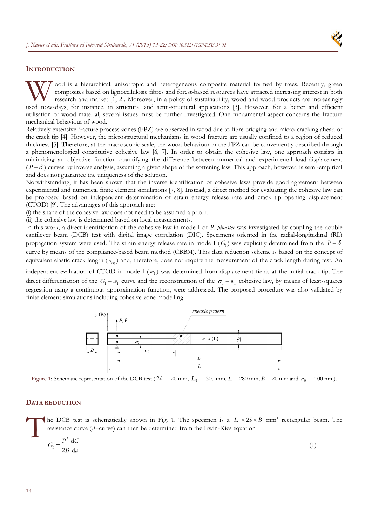

### **INTRODUCTION**

ood is a hierarchical, anisotropic and heterogeneous composite material formed by trees. Recently, green composites based on lignocellulosic fibres and forest-based resources have attracted increasing interest in both research and market [1, 2]. Moreover, in a policy of sustainability, wood and wood products are increasingly W ood is a hierarchical, anisotropic and heterogeneous composite material formed by trees. Recently, green composites based on lignocellulosic fibres and forest-based resources have attracted increasing interest in both re utilisation of wood material, several issues must be further investigated. One fundamental aspect concerns the fracture mechanical behaviour of wood.

Relatively extensive fracture process zones (FPZ) are observed in wood due to fibre bridging and micro-cracking ahead of the crack tip [4]. However, the microstructural mechanisms in wood fracture are usually confined to a region of reduced thickness [5]. Therefore, at the macroscopic scale, the wood behaviour in the FPZ can be conveniently described through a phenomenological constitutive cohesive law [6, 7]. In order to obtain the cohesive law, one approach consists in minimising an objective function quantifying the difference between numerical and experimental load-displacement  $(P - \delta)$  curves by inverse analysis, assuming a given shape of the softening law. This approach, however, is semi-empirical and does not guarantee the uniqueness of the solution.

Notwithstanding, it has been shown that the inverse identification of cohesive laws provide good agreement between experimental and numerical finite element simulations [7, 8]. Instead, a direct method for evaluating the cohesive law can be proposed based on independent determination of strain energy release rate and crack tip opening displacement (CTOD) [9]. The advantages of this approach are:

(i) the shape of the cohesive law does not need to be assumed a priori;

(ii) the cohesive law is determined based on local measurements.

In this work, a direct identification of the cohesive law in mode I of *P. pinaster* was investigated by coupling the double cantilever beam (DCB) test with digital image correlation (DIC). Specimens oriented in the radial-longitudinal (RL) propagation system were used. The strain energy release rate in mode I ( $G<sub>1</sub>$ ) was explicitly determined from the *P* –  $\delta$ curve by means of the compliance-based beam method (CBBM). This data reduction scheme is based on the concept of equivalent elastic crack length ( $a_{eq}$ ) and, therefore, does not require the measurement of the crack length during test. An

independent evaluation of CTOD in mode I  $(w<sub>1</sub>)$  was determined from displacement fields at the initial crack tip. The direct differentiation of the  $G_1 - w_1$  curve and the reconstruction of the  $\sigma_1 - w_1$  cohesive law, by means of least-squares regression using a continuous approximation function, were addressed. The proposed procedure was also validated by finite element simulations including cohesive zone modelling.



Figure 1: Schematic representation of the DCB test ( $2h = 20$  mm,  $L_1 = 300$  mm,  $L = 280$  mm,  $B = 20$  mm and  $a_0 = 100$  mm).

# **DATA REDUCTION**

he DCB test is schematically shown in Fig. 1. The specimen is a  $L_1 \times 2b \times B$  mm<sup>3</sup> rectangular beam. The resistance curve (*R*–curve) can then be determined from the Irwin-Kies equation The rest of the state of the state of the state of the state of the state of the state of the state of the state of the state of the state of the state of the state of the state of the state of the state of the state of th

$$
G_{\rm I} = \frac{P^2}{2B} \frac{\mathrm{d}C}{\mathrm{d}a} \tag{1}
$$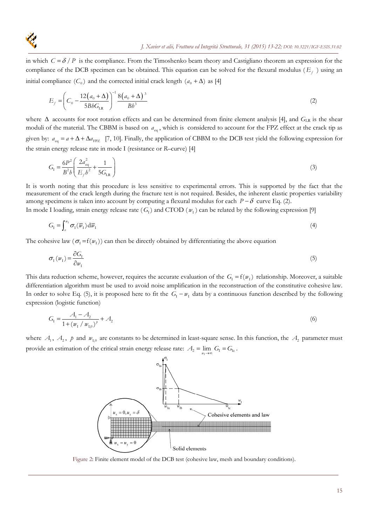in which  $C = \delta / P$  is the compliance. From the Timoshenko beam theory and Castigliano theorem an expression for the compliance of the DCB specimen can be obtained. This equation can be solved for the flexural modulus ( $E_f$ ) using an initial compliance  $(C_0)$  and the corrected initial crack length  $(a_0 + \Delta)$  as [4]

$$
E_f = \left(C_0 - \frac{12(a_0 + \Delta)}{5BbG_{LR}}\right)^{-1} \frac{8(a_0 + \Delta)^3}{Bb^3}
$$
 (2)

where  $\Delta$  accounts for root rotation effects and can be determined from finite element analysis [4], and  $G_{LR}$  is the shear moduli of the material. The CBBM is based on  $a_{eq}$ , which is considered to account for the FPZ effect at the crack tip as given by:  $a_{eq} = a + \Delta + \Delta a_{FPZ}$  [7, 10]. Finally, the application of CBBM to the DCB test yield the following expression for the strain energy release rate in mode I (resistance or *R*–curve) [4]

$$
G_{\rm I} = \frac{6P^2}{B^2 b} \left( \frac{2a_{\rm eq}^2}{E_f b^2} + \frac{1}{5G_{\rm LR}} \right) \tag{3}
$$

It is worth noting that this procedure is less sensitive to experimental errors. This is supported by the fact that the measurement of the crack length during the fracture test is not required. Besides, the inherent elastic properties variability among specimens is taken into account by computing a flexural modulus for each  $P - \delta$  curve Eq. (2).

In mode I loading, strain energy release rate  $(G_1)$  and CTOD  $(w_1)$  can be related by the following expression [9]

$$
G_{\rm I} = \int_{a}^{w_{\rm I}} \sigma_{\rm I}(\overline{w}_{\rm I}) \, \mathrm{d}\overline{w}_{\rm I} \tag{4}
$$

The cohesive law ( $\sigma_1 = f(w_1)$ ) can then be directly obtained by differentiating the above equation

$$
\sigma_{1}(w_{1}) = \frac{\partial G_{1}}{\partial w_{1}}
$$
\n<sup>(5)</sup>

This data reduction scheme, however, requires the accurate evaluation of the  $G<sub>1</sub> = f(w<sub>1</sub>)$  relationship. Moreover, a suitable differentiation algorithm must be used to avoid noise amplification in the reconstruction of the constitutive cohesive law. In order to solve Eq. (5), it is proposed here to fit the  $G_I - w_I$  data by a continuous function described by the following expression (logistic function)

$$
G_1 = \frac{A_1 - A_2}{1 + (w_1 / w_{1,0})^p} + A_2
$$
\n<sup>(6)</sup>

where  $A_1$ ,  $A_2$ ,  $p$  and  $w_{10}$  are constants to be determined in least-square sense. In this function, the  $A_2$  parameter must provide an estimation of the critical strain energy release rate:  $A_2 = \lim_{w_1 \to \infty} G_1 = G_{Ic}$ .



Figure 2: Finite element model of the DCB test (cohesive law, mesh and boundary conditions).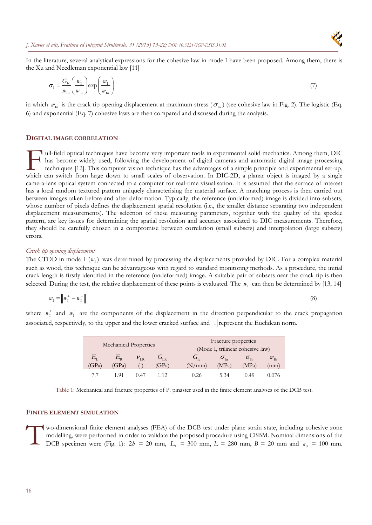

In the literature, several analytical expressions for the cohesive law in mode I have been proposed. Among them, there is the Xu and Needleman exponential law [11]

$$
\sigma_{\rm I} = \frac{G_{\rm Ic}}{w_{\rm Iu}} \left( \frac{w_{\rm I}}{w_{\rm Iu}} \right) \exp \left( \frac{w_{\rm I}}{w_{\rm Iu}} \right) \tag{7}
$$

in which  $w_{Iu}$  is the crack tip opening displacement at maximum stress ( $\sigma_{Iu}$ ) (see cohesive law in Fig. 2). The logistic (Eq. 6) and exponential (Eq. 7) cohesive laws are then compared and discussed during the analysis.

#### **DIGITAL IMAGE CORRELATION**

Ull-field optical techniques have become very important tools in experimental solid mechanics. Among them, DIC has become widely used, following the development of digital cameras and automatic digital image processing techniques [12]. This computer vision technique has the advantages of a simple principle and experimental set-up, which can switch from large down to small scales of observation. In DIC-2D, a planar object is imaged by a single principle. This computer vision technique has the advantages of a simple principle and experimental set-up, camera-lens optical system connected to a computer for real-time visualisation. It is assumed that the surface of interest has a local random textured pattern uniquely characterising the material surface. A matching process is then carried out between images taken before and after deformation. Typically, the reference (undeformed) image is divided into subsets, whose number of pixels defines the displacement spatial resolution (i.e., the smaller distance separating two independent displacement measurements). The selection of these measuring parameters, together with the quality of the speckle pattern, are key issues for determining the spatial resolution and accuracy associated to DIC measurements. Therefore, they should be carefully chosen in a compromise between correlation (small subsets) and interpolation (large subsets) errors.

#### *Crack tip opening displacement*

The CTOD in mode I  $(w_1)$  was determined by processing the displacements provided by DIC. For a complex material such as wood, this technique can be advantageous with regard to standard monitoring methods. As a procedure, the initial crack length is firstly identified in the reference (undeformed) image. A suitable pair of subsets near the crack tip is then selected. During the test, the relative displacement of these points is evaluated. The  $w_1$  can then be determined by [13, 14]

$$
w_{\rm I} = \left\| w_{\rm I}^+ - w_{\rm I}^- \right\| \tag{8}
$$

where  $w_1^+$  and  $w_1^-$  are the components of the displacement in the direction perpendicular to the crack propagation associated, respectively, to the upper and the lower cracked surface and  $\|$ . represent the Euclidean norm.

|             | <b>Mechanical Properties</b> |          |              |         | Fracture properties<br>(Mode I, trilinear cohesive law) |                               |                 |  |  |
|-------------|------------------------------|----------|--------------|---------|---------------------------------------------------------|-------------------------------|-----------------|--|--|
| $E_{\rm r}$ | $E_{\rm p}$                  | $V_{LR}$ | $G_{\rm IR}$ | $G_{L}$ | $\sigma_{\scriptscriptstyle{\rm In}}$                   | $\sigma_{\textrm{\tiny{Ib}}}$ | $w_{\text{lb}}$ |  |  |
| (GPa)       | (GPa)                        | ъ,       | (GPa)        | (N/mm)  | (MPa)                                                   | (MPa)                         | (mm)            |  |  |
| 77          | 191                          | 0.47     | 1.12         | 0.26    | 5.34                                                    | 0.49                          | 0.076           |  |  |

Table 1: Mechanical and fracture properties of P. pinaster used in the finite element analyses of the DCB test.

#### **FINITE ELEMENT SIMULATION**

wo-dimensional finite element analyses (FEA) of the DCB test under plane strain state, including cohesive zone modelling, were performed in order to validate the proposed procedure using CBBM. Nominal dimensions of the DCB specimen were (Fig. 1):  $2h = 20$  mm,  $L_1 = 300$  mm,  $L = 280$  mm,  $B = 20$  mm and  $a_0 = 100$  mm.  $\prod_{D}^{w}$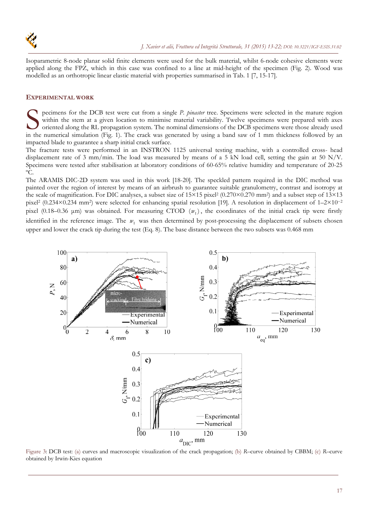

Isoparametric 8-node planar solid finite elements were used for the bulk material, whilst 6-node cohesive elements were applied along the FPZ, which in this case was confined to a line at mid-height of the specimen (Fig. 2). Wood was modelled as an orthotropic linear elastic material with properties summarised in Tab. 1 [7, 15-17].

### **EXPERIMENTAL WORK**

pecimens for the DCB test were cut from a single *P. pinaster* tree. Specimens were selected in the mature region within the stem at a given location to minimise material variability. Twelve specimens were prepared with axes oriented along the RL propagation system. The nominal dimensions of the DCB specimens were those already used Superimens for the DCB test were cut from a single *P. pinaster* tree. Specimens were selected in the mature region within the stem at a given location to minimise material variability. Twelve specimens were prepared with impacted blade to guarantee a sharp initial crack surface.

The fracture tests were performed in an INSTRON 1125 universal testing machine, with a controlled cross- head displacement rate of 3 mm/min. The load was measured by means of a 5 kN load cell, setting the gain at 50 N/V. Specimens were tested after stabilisation at laboratory conditions of 60-65% relative humidity and temperature of 20-25 ºC.

The ARAMIS DIC-2D system was used in this work [18-20]. The speckled pattern required in the DIC method was painted over the region of interest by means of an airbrush to guarantee suitable granulometry, contrast and isotropy at the scale of magnification. For DIC analyses, a subset size of  $15\times15$  pixel<sup>2</sup> (0.270×0.270 mm<sup>2</sup>) and a subset step of  $13\times13$ pixel2 (0.234×0.234 mm2) were selected for enhancing spatial resolution [19]. A resolution in displacement of 1–2×10−<sup>2</sup> pixel (0.18–0.36  $\mu$ m) was obtained. For measuring CTOD  $(w<sub>r</sub>)$ , the coordinates of the initial crack tip were firstly identified in the reference image. The  $w<sub>1</sub>$  was then determined by post-processing the displacement of subsets chosen upper and lower the crack tip during the test (Eq. 8). The base distance between the two subsets was 0.468 mm



Figure 3: DCB test: (a) curves and macroscopic visualization of the crack propagation; (b) *R*–curve obtained by CBBM; (c) *R*–curve obtained by Irwin-Kies equation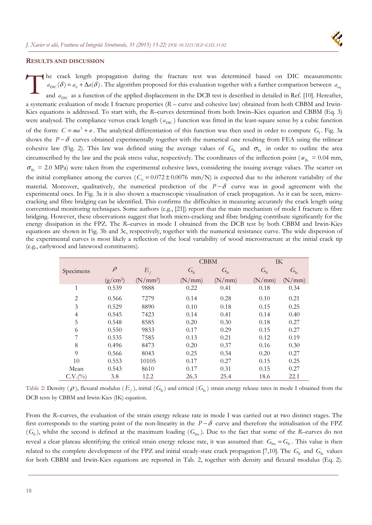

#### **RESULTS AND DISCUSSION**

he crack length propagation during the fracture test was determined based on DIC measurements:  $a_{\text{DIC}}(\delta) = a_0 + \Delta a(\delta)$ . The algorithm proposed for this evaluation together with a further comparison between  $a_{\text{ec}}$ and  $a_{\text{DIC}}$  as a function of the applied displacement in the DCB test is described in detailed in Ref. [10]. Hereafter, a systematic evaluation of mode I fracture properties (*R* – curve and cohesive law) obtained from both CBBM and Irwin-Kies equations is addressed. To start with, the *R*–curves determined from both Irwin–Kies equation and CBBM (Eq. 3) were analysed. The compliance versus crack length ( $a_{\text{DIC}}$ ) function was fitted in the least-square sense by a cubic function of the form:  $C = ma^3 + n$ . The analytical differentiation of this function was then used in order to compute  $G_1$ . Fig. 3a shows the  $P - \delta$  curves obtained experimentally together with the numerical one resulting from FEA using the trilinear cohesive law (Fig. 2). This law was defined using the average values of  $G_{\text{Ic}}$  and  $\sigma_{\text{Iu}}$  in order to outline the area circumscribed by the law and the peak stress value, respectively. The coordinates of the inflection point ( $w_{\text{lb}} = 0.04$  mm,  $\sigma_{\text{lb}}$  = 2.0 MPa) were taken from the experimental cohesive laws, considering the issuing average values. The scatter on the initial compliance among the curves  $(C_0 = 0.072 \pm 0.0076 \text{ mm/N})$  is expected due to the inherent variability of the material. Moreover, qualitatively, the numerical prediction of the  $P - \delta$  curve was in good agreement with the experimental ones. In Fig. 3a it is also shown a macroscopic visualisation of crack propagation. As it can be seen, microcracking and fibre bridging can be identified. This confirms the difficulties in measuring accurately the crack length using conventional monitoring techniques. Some authors (e.g., [21]) report that the main mechanism of mode I fracture is fibre bridging. However, these observations suggest that both micro-cracking and fibre bridging contribute significantly for the energy dissipation in the FPZ. The *R*–curves in mode I obtained from the DCB test by both CBBM and Irwin-Kies equations are shown in Fig. 3b and 3c, respectively, together with the numerical resistance curve. The wide dispersion of the experimental curves is most likely a reflection of the local variability of wood microstructure at the initial crack tip (e.g., earlywood and latewood constituents).  $\prod_{\text{an}}^{\text{he}}$ 

|                |            |            |                 | <b>CBBM</b> |                 | IK       |
|----------------|------------|------------|-----------------|-------------|-----------------|----------|
| Specimens      | $\rho$     | $E_{f}$    | G <sub>li</sub> | $G_{Ic}$    | G <sub>li</sub> | $G_{Ic}$ |
|                | $(g/cm^3)$ | $(N/mm^2)$ | (N/mm)          | (N/mm)      | (N/mm)          | (N/mm)   |
| 1              | 0.539      | 9888       | 0.22            | 0.41        | 0.18            | 0.34     |
| $\overline{2}$ | 0.566      | 7279       | 0.14            | 0.28        | 0.10            | 0.21     |
| 3              | 0.529      | 8890       | 0.10            | 0.18        | 0.15            | 0.25     |
| 4              | 0.545      | 7423       | 0.14            | 0.41        | 0.14            | 0.40     |
| 5              | 0.548      | 8585       | 0.20            | 0.30        | 0.18            | 0.27     |
| 6              | 0.550      | 9833       | 0.17            | 0.29        | 0.15            | 0.27     |
| 7              | 0.535      | 7585       | 0.13            | 0.21        | 0.12            | 0.19     |
| 8              | 0.496      | 8473       | 0.20            | 0.37        | 0.16            | 0.30     |
| 9              | 0.566      | 8043       | 0.25            | 0.34        | 0.20            | 0.27     |
| 10             | 0.553      | 10105      | 0.17            | 0.27        | 0.15            | 0.25     |
| Mean           | 0.543      | 8610       | 0.17            | 0.31        | 0.15            | 0.27     |
| C.V.(9/0)      | 3.8        | 12.2       | 26.3            | 25.4        | 18.6            | 22.1     |

Table 2: Density ( $\rho$ ), flexural modulus ( $E_f$ ), initial ( $G_i$ ) and critical ( $G_i$ ) strain energy release rates in mode I obtained from the DCB tests by CBBM and Irwin-Kies (IK) equation.

From the *R*–curves, the evaluation of the strain energy release rate in mode I was carried out at two distinct stages. The first corresponds to the starting point of the non-linearity in the  $P - \delta$  curve and therefore the initialisation of the FPZ  $(G<sub>li</sub>)$ , whilst the second is defined at the maximum loading  $(G<sub>lm</sub>)$ . Due to the fact that some of the *R*–curves do not reveal a clear plateau identifying the critical strain energy release rate, it was assumed that:  $G_{Im} = G_{Ic}$ . This value is then related to the complete development of the FPZ and initial steady-state crack propagation [7,10]. The  $G_{\text{Ii}}$  and  $G_{\text{Ic}}$  values for both CBBM and Irwin-Kies equations are reported in Tab. 2, together with density and flexural modulus (Eq. 2).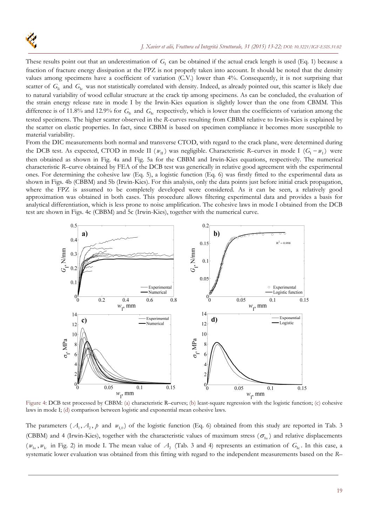These results point out that an underestimation of  $G<sub>I</sub>$  can be obtained if the actual crack length is used (Eq. 1) because a fraction of fracture energy dissipation at the FPZ is not properly taken into account. It should be noted that the density values among specimens have a coefficient of variation (C.V.) lower than 4%. Consequently, it is not surprising that scatter of G<sub>Ii</sub> and G<sub>Ic</sub> was not statistically correlated with density. Indeed, as already pointed out, this scatter is likely due to natural variability of wood cellular structure at the crack tip among specimens. As can be concluded, the evaluation of the strain energy release rate in mode I by the Irwin-Kies equation is slightly lower than the one from CBMM. This difference is of 11.8% and 12.9% for G<sub>Ii</sub> and G<sub>Ic</sub> respectively, which is lower than the coefficients of variation among the tested specimens. The higher scatter observed in the *R*-curves resulting from CBBM relative to Irwin-Kies is explained by the scatter on elastic properties. In fact, since CBBM is based on specimen compliance it becomes more susceptible to material variability.

From the DIC measurements both normal and transverse CTOD, with regard to the crack plane, were determined during the DCB test. As expected, CTOD in mode II  $(w_{\text{II}})$  was negligible. Characteristic *R*–curves in mode I  $(G_1 - w_1)$  were then obtained as shown in Fig. 4a and Fig. 5a for the CBBM and Irwin-Kies equations, respectively. The numerical characteristic *R*–curve obtained by FEA of the DCB test was generically in relative good agreement with the experimental ones. For determining the cohesive law (Eq. 5), a logistic function (Eq. 6) was firstly fitted to the experimental data as shown in Figs. 4b (CBBM) and 5b (Irwin-Kies). For this analysis, only the data points just before initial crack propagation, where the FPZ is assumed to be completely developed were considered. As it can be seen, a relatively good approximation was obtained in both cases. This procedure allows filtering experimental data and provides a basis for analytical differentiation, which is less prone to noise amplification. The cohesive laws in mode I obtained from the DCB test are shown in Figs. 4c (CBBM) and 5c (Irwin-Kies), together with the numerical curve.



Figure 4: DCB test processed by CBBM: (a) characteristic R–curves; (b) least-square regression with the logistic function; (c) cohesive laws in mode I; (d) comparison between logistic and exponential mean cohesive laws.

The parameters  $(A_1, A_2, p$  and  $w_{10}$ ) of the logistic function (Eq. 6) obtained from this study are reported in Tab. 3 (CBBM) and 4 (Irwin-Kies), together with the characteristic values of maximum stress ( $\sigma_{\text{in}}$ ) and relative displacements  $(w_{I_u}, w_{I_c})$  in Fig. 2) in mode I. The mean value of  $A_2$  (Tab. 3 and 4) represents an estimation of  $G_{I_c}$ . In this case, a systematic lower evaluation was obtained from this fitting with regard to the independent measurements based on the *R*–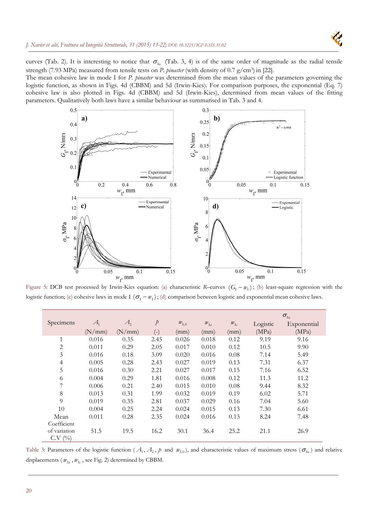

curves (Tab. 2). It is interesting to notice that  $\sigma_{Iu}$  (Tab. 3, 4) is of the same order of magnitude as the radial tensile strength (7.93 MPa) measured from tensile tests on *P. pinaster* (with density of 0.7 g/cm3) in [22].

The mean cohesive law in mode I for *P. pinaster* was determined from the mean values of the parameters governing the logistic function, as shown in Figs. 4d (CBBM) and 5d (Irwin-Kies). For comparison purposes, the exponential (Eq. 7) cohesive law is also plotted in Figs. 4d (CBBM) and 5d (Irwin-Kies), determined from mean values of the fitting parameters. Qualitatively both laws have a similar behaviour as summarised in Tab. 3 and 4.



Figure 5: DCB test processed by Irwin-Kies equation: (a) characteristic *R*–curves  $(G_1 - w_1)$ ; (b) least-square regression with the logistic function; (c) cohesive laws in mode I  $(\sigma_1 - w_1)$ ; (d) comparison between logistic and exponential mean cohesive laws.

|                        |                   |         |             |           |                                          |                   | $\sigma_{\text{\tiny{Iu}}}$ |             |  |
|------------------------|-------------------|---------|-------------|-----------|------------------------------------------|-------------------|-----------------------------|-------------|--|
| Specimens              | $\mathcal{A}_{1}$ | $A_{2}$ | $\rlap{/}D$ | $w_{I,0}$ | $\mathcal{W}_{\mathrm{I}\boldsymbol{u}}$ | $w_{\mathrm{Ic}}$ | Logistic                    | Exponential |  |
|                        | (N/mm)            | (N/mm)  | $(-)$       | (mm)      | (mm)                                     | (mm)              | (MPa)                       | (MPa)       |  |
| $\mathbf{1}$           | 0.016             | 0.35    | 2.45        | 0.026     | 0.018                                    | 0.12              | 9.19                        | 9.16        |  |
| 2                      | 0.011             | 0.29    | 2.05        | 0.017     | 0.010                                    | 0.12              | 10.5                        | 9.90        |  |
| $\mathfrak{Z}$         | 0.016             | 0.18    | 3.09        | 0.020     | 0.016                                    | 0.08              | 7.14                        | 5.49        |  |
| $\overline{4}$         | 0.005             | 0.28    | 2.43        | 0.027     | 0.019                                    | 0.13              | 7.31                        | 6.37        |  |
| 5                      | 0.016             | 0.30    | 2.21        | 0.027     | 0.017                                    | 0.15              | 7.16                        | 6.52        |  |
| 6                      | 0.004             | 0.29    | 1.81        | 0.016     | 0.008                                    | 0.12              | 11.3                        | 11.2        |  |
|                        | 0.006             | 0.21    | 2.40        | 0.015     | 0.010                                    | 0.08              | 9.44                        | 8.32        |  |
| 8                      | 0.013             | 0.31    | 1.99        | 0.032     | 0.019                                    | 0.19              | 6.02                        | 5.71        |  |
| 9                      | 0.019             | 0.35    | 2.81        | 0.037     | 0.029                                    | 0.16              | 7.04                        | 5.60        |  |
| 10                     | 0.004             | 0.25    | 2.24        | 0.024     | 0.015                                    | 0.13              | 7.30                        | 6.61        |  |
| Mean                   | 0.011             | 0.28    | 2.35        | 0.024     | 0.016                                    | 0.13              | 8.24                        | 7.48        |  |
| Coefficient            |                   |         |             |           |                                          |                   |                             |             |  |
| of variation<br>C.V(%) | 51.5              | 19.5    | 16.2        | 30.1      | 36.4                                     | 25.2              | 21.1                        | 26.9        |  |

Table 3: Parameters of the logistic function ( $A_1, A_2, p$  and  $w_{1,0}$ ), and characteristic values of maximum stress ( $\sigma_{1u}$ ) and relative displacements ( $w_{I_u}$ ,  $w_{I_c}$ , see Fig. 2) determined by CBBM.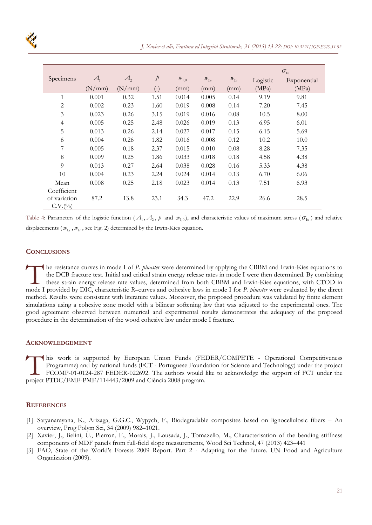|                |         |         |               |                              |                                          |                           | $\sigma_{\text{\tiny{Iu}}}$ |             |
|----------------|---------|---------|---------------|------------------------------|------------------------------------------|---------------------------|-----------------------------|-------------|
| Specimens      | $A_{1}$ | $A_{2}$ | $\mathcal{P}$ | $\mathcal{W}_{\mathrm{I},0}$ | $\mathcal{W}_{\mathbb{I}\boldsymbol{u}}$ | $\mathcal{W}_{\text{I}c}$ | Logistic                    | Exponential |
|                | (N/mm)  | (N/mm)  | $(-)$         | (mm)                         | (mm)                                     | (mm)                      | (MPa)                       | (MPa)       |
| $\mathbf{1}$   | 0.001   | 0.32    | 1.51          | 0.014                        | 0.005                                    | 0.14                      | 9.19                        | 9.81        |
| $\mathbf{2}$   | 0.002   | 0.23    | 1.60          | 0.019                        | 0.008                                    | 0.14                      | 7.20                        | 7.45        |
| $\mathfrak{Z}$ | 0.023   | 0.26    | 3.15          | 0.019                        | 0.016                                    | 0.08                      | 10.5                        | 8.00        |
| $\overline{4}$ | 0.005   | 0.25    | 2.48          | 0.026                        | 0.019                                    | 0.13                      | 6.95                        | 6.01        |
| 5              | 0.013   | 0.26    | 2.14          | 0.027                        | 0.017                                    | 0.15                      | 6.15                        | 5.69        |
| 6              | 0.004   | 0.26    | 1.82          | 0.016                        | 0.008                                    | 0.12                      | 10.2                        | 10.0        |
| 7              | 0.005   | 0.18    | 2.37          | 0.015                        | 0.010                                    | 0.08                      | 8.28                        | 7.35        |
| 8              | 0.009   | 0.25    | 1.86          | 0.033                        | 0.018                                    | 0.18                      | 4.58                        | 4.38        |
| $\overline{Q}$ | 0.013   | 0.27    | 2.64          | 0.038                        | 0.028                                    | 0.16                      | 5.33                        | 4.38        |
| 10             | 0.004   | 0.23    | 2.24          | 0.024                        | 0.014                                    | 0.13                      | 6.70                        | 6.06        |
| Mean           | 0.008   | 0.25    | 2.18          | 0.023                        | 0.014                                    | 0.13                      | 7.51                        | 6.93        |
| Coefficient    |         |         |               |                              |                                          |                           |                             |             |
| of variation   | 87.2    | 13.8    | 23.1          | 34.3                         | 47.2                                     | 22.9                      | 26.6                        | 28.5        |
| C.V.(9/0)      |         |         |               |                              |                                          |                           |                             |             |

Table 4: Parameters of the logistic function ( $A_1, A_2, p$  and  $w_{1,0}$ ), and characteristic values of maximum stress ( $\sigma_{1,0}$ ) and relative displacements ( $w_{I_u}$ ,  $w_{I_c}$ , see Fig. 2) determined by the Irwin-Kies equation.

# **CONCLUSIONS**

he resistance curves in mode I of *P. pinaster* were determined by applying the CBBM and Irwin-Kies equations to the DCB fracture test. Initial and critical strain energy release rates in mode I were then determined. By combining these strain energy release rate values, determined from both CBBM and Irwin-Kies equations, with CTOD in The resistance curves in mode I of *P. pinaster* were determined by applying the CBBM and Irwin-Kies equations to the DCB fracture test. Initial and critical strain energy release rates in mode I were then determined. By c method. Results were consistent with literature values. Moreover, the proposed procedure was validated by finite element simulations using a cohesive zone model with a bilinear softening law that was adjusted to the experimental ones. The good agreement observed between numerical and experimental results demonstrates the adequacy of the proposed procedure in the determination of the wood cohesive law under mode I fracture.

### **ACKNOWLEDGEMENT**

his work is supported by European Union Funds (FEDER/COMPETE - Operational Competitiveness Programme) and by national funds (FCT - Portuguese Foundation for Science and Technology) under the project FCOMP-01-0124-287 FEDER-022692. The authors would like to acknowledge the support of FCT under the his work is supported by European Union Funds (FEI<br>Programme) and by national funds (FCT - Portuguese Found:<br>FCOMP-01-0124-287 FEDER-022692. The authors would l<br>project PTDC/EME-PME/114443/2009 and Ciência 2008 program.

### **REFERENCES**

- [1] Satyanarayana, K., Arizaga, G.G.C., Wypych, F., Biodegradable composites based on lignocellulosic fibers An overview, Prog Polym Sci, 34 (2009) 982–1021.
- [2] Xavier, J., Belini, U., Pierron, F., Morais, J., Lousada, J., Tomazello, M., Characterisation of the bending stiffness components of MDF panels from full-field slope measurements, Wood Sci Technol, 47 (2013) 423–441
- [3] FAO, State of the World's Forests 2009 Report. Part 2 Adapting for the future. UN Food and Agriculture Organization (2009).